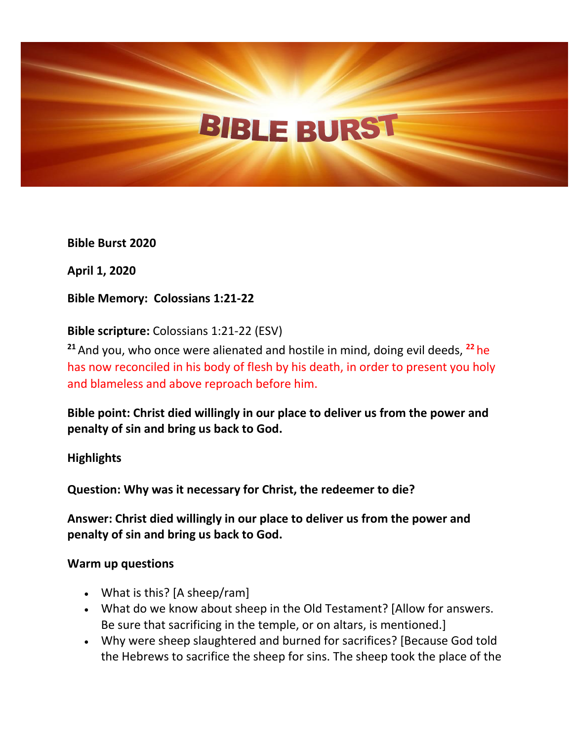**Bible Burst 2020**

**April 1, 2020**

**Bible Memory: Colossians 1:21-22**

**Bible scripture:** Colossians 1:21-22 (ESV)

**<sup>21</sup>** And you, who once were alienated and hostile in mind, doing evil deeds, **<sup>22</sup>** he has now reconciled in his body of flesh by his death, in order to present you holy and blameless and above reproach before him.

**Bible point: Christ died willingly in our place to deliver us from the power and penalty of sin and bring us back to God.**

**Highlights**

**Question: Why was it necessary for Christ, the redeemer to die?**

**Answer: Christ died willingly in our place to deliver us from the power and penalty of sin and bring us back to God.**

#### **Warm up questions**

- What is this? [A sheep/ram]
- What do we know about sheep in the Old Testament? [Allow for answers. Be sure that sacrificing in the temple, or on altars, is mentioned.]
- Why were sheep slaughtered and burned for sacrifices? [Because God told the Hebrews to sacrifice the sheep for sins. The sheep took the place of the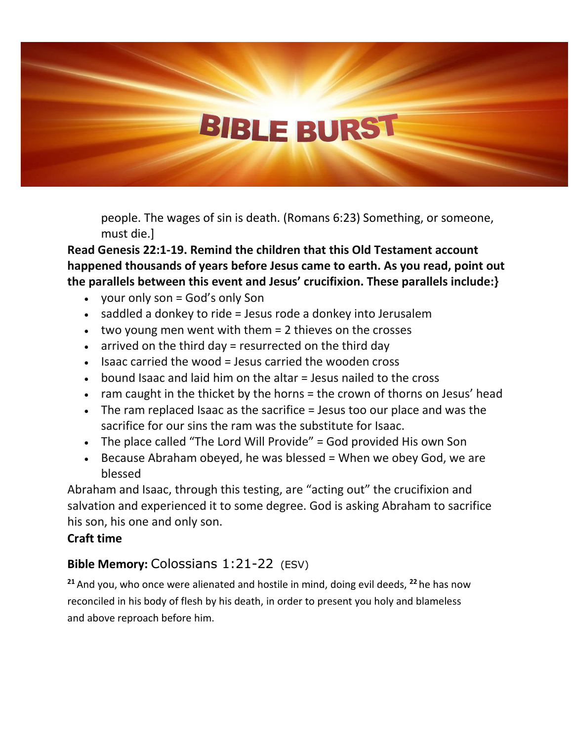people. The wages of sin is death. (Romans 6:23) Something, or someone, must die.]

**Read Genesis 22:1-19. Remind the children that this Old Testament account happened thousands of years before Jesus came to earth. As you read, point out the parallels between this event and Jesus' crucifixion. These parallels include:}**

- your only son  $=$  God's only Son
- saddled a donkey to ride = Jesus rode a donkey into Jerusalem
- $\bullet$  two young men went with them  $= 2$  thieves on the crosses
- $\bullet$  arrived on the third day = resurrected on the third day
- Isaac carried the wood = Jesus carried the wooden cross
- $\bullet$  bound Isaac and laid him on the altar  $=$  Jesus nailed to the cross
- ram caught in the thicket by the horns = the crown of thorns on Jesus' head
- The ram replaced Isaac as the sacrifice = Jesus too our place and was the sacrifice for our sins the ram was the substitute for Isaac.
- The place called "The Lord Will Provide" = God provided His own Son
- Because Abraham obeyed, he was blessed  $=$  When we obey God, we are blessed

Abraham and Isaac, through this testing, are "acting out" the crucifixion and salvation and experienced it to some degree. God is asking Abraham to sacrifice his son, his one and only son.

### **Craft time**

### **Bible Memory:** Colossians 1:21-22 (ESV)

**<sup>21</sup>** And you, who once were alienated and hostile in mind, doing evil deeds, **<sup>22</sup>** he has now reconciled in his body of flesh by his death, in order to present you holy and blameless and above reproach before him.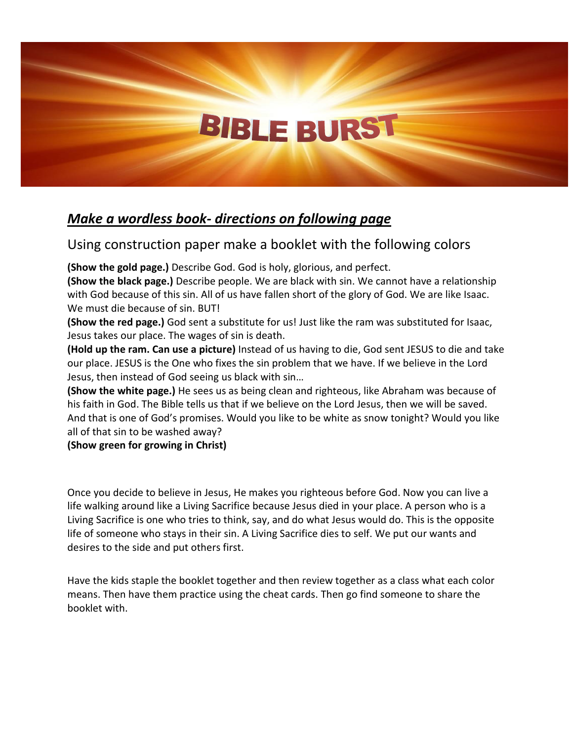## *Make a wordless book- directions on following page*

### Using construction paper make a booklet with the following colors

**(Show the gold page.)** Describe God. God is holy, glorious, and perfect.

**(Show the black page.)** Describe people. We are black with sin. We cannot have a relationship with God because of this sin. All of us have fallen short of the glory of God. We are like Isaac. We must die because of sin. BUT!

**(Show the red page.)** God sent a substitute for us! Just like the ram was substituted for Isaac, Jesus takes our place. The wages of sin is death.

**(Hold up the ram. Can use a picture)** Instead of us having to die, God sent JESUS to die and take our place. JESUS is the One who fixes the sin problem that we have. If we believe in the Lord Jesus, then instead of God seeing us black with sin…

**(Show the white page.)** He sees us as being clean and righteous, like Abraham was because of his faith in God. The Bible tells us that if we believe on the Lord Jesus, then we will be saved. And that is one of God's promises. Would you like to be white as snow tonight? Would you like all of that sin to be washed away?

**(Show green for growing in Christ)**

Once you decide to believe in Jesus, He makes you righteous before God. Now you can live a life walking around like a Living Sacrifice because Jesus died in your place. A person who is a Living Sacrifice is one who tries to think, say, and do what Jesus would do. This is the opposite life of someone who stays in their sin. A Living Sacrifice dies to self. We put our wants and desires to the side and put others first.

Have the kids staple the booklet together and then review together as a class what each color means. Then have them practice using the cheat cards. Then go find someone to share the booklet with.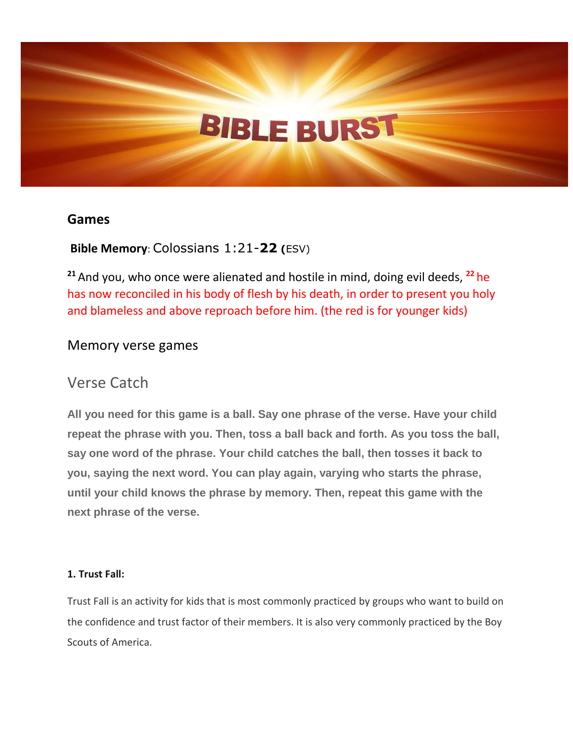#### **Games**

### **Bible Memory**: Colossians 1:21-**22 (**ESV)

**<sup>21</sup>** And you, who once were alienated and hostile in mind, doing evil deeds, **<sup>22</sup>** he has now reconciled in his body of flesh by his death, in order to present you holy and blameless and above reproach before him. (the red is for younger kids)

#### Memory verse games

## Verse Catch

**All you need for this game is a ball. Say one phrase of the verse. Have your child repeat the phrase with you. Then, toss a ball back and forth. As you toss the ball, say one word of the phrase. Your child catches the ball, then tosses it back to you, saying the next word. You can play again, varying who starts the phrase, until your child knows the phrase by memory. Then, repeat this game with the next phrase of the verse.**

#### **1. Trust Fall:**

Trust Fall is an activity for kids that is most commonly practiced by groups who want to build on the confidence and trust factor of their members. It is also very commonly practiced by the Boy Scouts of America.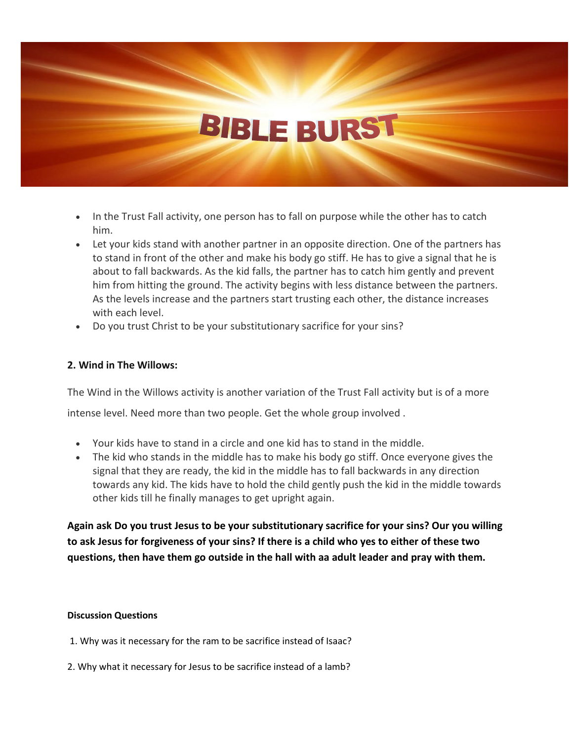- In the Trust Fall activity, one person has to fall on purpose while the other has to catch him.
- Let your kids stand with another partner in an opposite direction. One of the partners has to stand in front of the other and make his body go stiff. He has to give a signal that he is about to fall backwards. As the kid falls, the partner has to catch him gently and prevent him from hitting the ground. The activity begins with less distance between the partners. As the levels increase and the partners start trusting each other, the distance increases with each level.
- Do you trust Christ to be your substitutionary sacrifice for your sins?

#### **2. Wind in The Willows:**

The Wind in the Willows activity is another variation of the Trust Fall activity but is of a more

intense level. Need more than two people. Get the whole group involved .

- Your kids have to stand in a circle and one kid has to stand in the middle.
- The kid who stands in the middle has to make his body go stiff. Once everyone gives the signal that they are ready, the kid in the middle has to fall backwards in any direction towards any kid. The kids have to hold the child gently push the kid in the middle towards other kids till he finally manages to get upright again.

**Again ask Do you trust Jesus to be your substitutionary sacrifice for your sins? Our you willing to ask Jesus for forgiveness of your sins? If there is a child who yes to either of these two questions, then have them go outside in the hall with aa adult leader and pray with them.**

#### **Discussion Questions**

- 1. Why was it necessary for the ram to be sacrifice instead of Isaac?
- 2. Why what it necessary for Jesus to be sacrifice instead of a lamb?